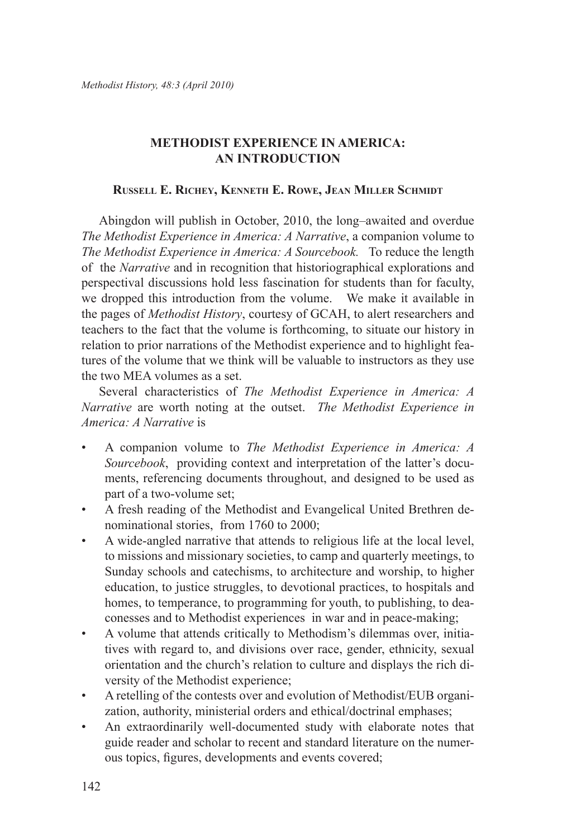# **METHODIST EXPERIENCE IN AMERICA: AN INTRODUCTION**

#### **Russell E. Richey, Kenneth E. Rowe, Jean Miller Schmidt**

Abingdon will publish in October, 2010, the long–awaited and overdue *The Methodist Experience in America: A Narrative*, a companion volume to *The Methodist Experience in America: A Sourcebook.* To reduce the length of the *Narrative* and in recognition that historiographical explorations and perspectival discussions hold less fascination for students than for faculty, we dropped this introduction from the volume. We make it available in the pages of *Methodist History*, courtesy of GCAH, to alert researchers and teachers to the fact that the volume is forthcoming, to situate our history in relation to prior narrations of the Methodist experience and to highlight features of the volume that we think will be valuable to instructors as they use the two MEA volumes as a set.

Several characteristics of *The Methodist Experience in America: A Narrative* are worth noting at the outset. *The Methodist Experience in America: A Narrative* is

- A companion volume to *The Methodist Experience in America: A Sourcebook*, providing context and interpretation of the latter's documents, referencing documents throughout, and designed to be used as part of a two-volume set; •
- A fresh reading of the Methodist and Evangelical United Brethren denominational stories, from 1760 to 2000; •
- A wide-angled narrative that attends to religious life at the local level, to missions and missionary societies, to camp and quarterly meetings, to Sunday schools and catechisms, to architecture and worship, to higher education, to justice struggles, to devotional practices, to hospitals and homes, to temperance, to programming for youth, to publishing, to deaconesses and to Methodist experiences in war and in peace-making; •
- A volume that attends critically to Methodism's dilemmas over, initiatives with regard to, and divisions over race, gender, ethnicity, sexual orientation and the church's relation to culture and displays the rich diversity of the Methodist experience; •
- A retelling of the contests over and evolution of Methodist/EUB organization, authority, ministerial orders and ethical/doctrinal emphases; •
- An extraordinarily well-documented study with elaborate notes that guide reader and scholar to recent and standard literature on the numerous topics, figures, developments and events covered; •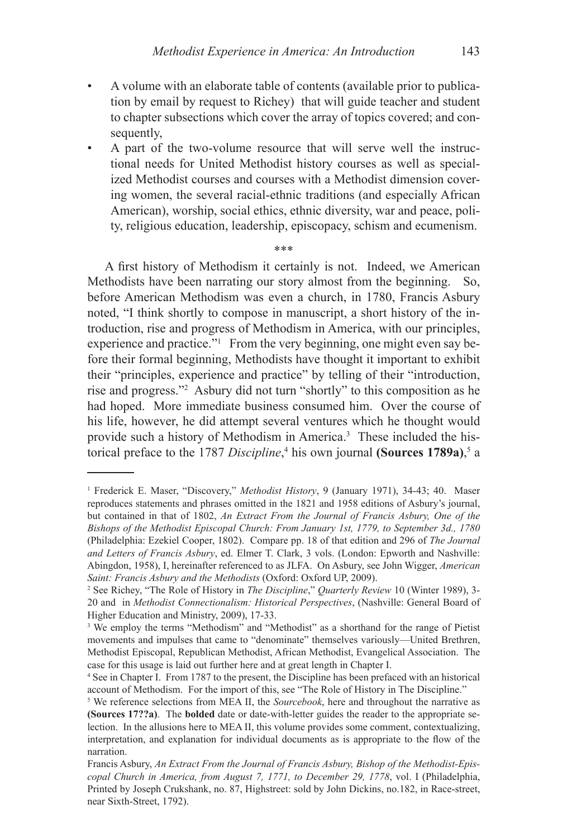- A volume with an elaborate table of contents (available prior to publication by email by request to Richey) that will guide teacher and student to chapter subsections which cover the array of topics covered; and consequently, •
- A part of the two-volume resource that will serve well the instructional needs for United Methodist history courses as well as specialized Methodist courses and courses with a Methodist dimension covering women, the several racial-ethnic traditions (and especially African American), worship, social ethics, ethnic diversity, war and peace, polity, religious education, leadership, episcopacy, schism and ecumenism. •

\*\*\*

A first history of Methodism it certainly is not. Indeed, we American Methodists have been narrating our story almost from the beginning. So, before American Methodism was even a church, in 1780, Francis Asbury noted, "I think shortly to compose in manuscript, a short history of the introduction, rise and progress of Methodism in America, with our principles, experience and practice." $\frac{1}{1}$  From the very beginning, one might even say before their formal beginning, Methodists have thought it important to exhibit their "principles, experience and practice" by telling of their "introduction, rise and progress."<sup>2</sup> Asbury did not turn "shortly" to this composition as he had hoped. More immediate business consumed him. Over the course of his life, however, he did attempt several ventures which he thought would provide such a history of Methodism in America.<sup>3</sup> These included the historical preface to the 1787 Discipline,<sup>4</sup> his own journal **(Sources 1789a)**,<sup>5</sup> a

Frederick E. Maser, "Discovery," *Methodist History*, 9 (January 1971), 34-43; 40. Maser reproduces statements and phrases omitted in the 1821 and 1958 editions of Asbury's journal, but contained in that of 1802, *An Extract From the Journal of Francis Asbury, One of the Bishops of the Methodist Episcopal Church: From January 1st, 1779, to September 3d., 1780*  (Philadelphia: Ezekiel Cooper, 1802). Compare pp. 18 of that edition and 296 of *The Journal and Letters of Francis Asbury*, ed. Elmer T. Clark, 3 vols. (London: Epworth and Nashville: Abingdon, 1958), I, hereinafter referenced to as JLFA. On Asbury, see John Wigger, *American Saint: Francis Asbury and the Methodists* (Oxford: Oxford UP, 2009).

See Richey, "The Role of History in *The Discipline*," *Quarterly Review* 10 (Winter 1989), 3- 20 and in *Methodist Connectionalism: Historical Perspectives*, (Nashville: General Board of Higher Education and Ministry, 2009), 17-33.

<sup>&</sup>lt;sup>3</sup> We employ the terms "Methodism" and "Methodist" as a shorthand for the range of Pietist movements and impulses that came to "denominate" themselves variously—United Brethren, Methodist Episcopal, Republican Methodist, African Methodist, Evangelical Association. The case for this usage is laid out further here and at great length in Chapter I.

<sup>&</sup>lt;sup>4</sup> See in Chapter I. From 1787 to the present, the Discipline has been prefaced with an historical account of Methodism. For the import of this, see "The Role of History in The Discipline."

 We reference selections from MEA II, the *Sourcebook*, here and throughout the narrative as **(Sources 17??a)**. The **bolded** date or date-with-letter guides the reader to the appropriate selection. In the allusions here to MEA II, this volume provides some comment, contextualizing, interpretation, and explanation for individual documents as is appropriate to the flow of the narration.

Francis Asbury, *An Extract From the Journal of Francis Asbury, Bishop of the Methodist-Episcopal Church in America, from August 7, 1771, to December 29, 1778*, vol. I (Philadelphia, Printed by Joseph Crukshank, no. 87, Highstreet: sold by John Dickins, no.182, in Race-street, near Sixth-Street, 1792).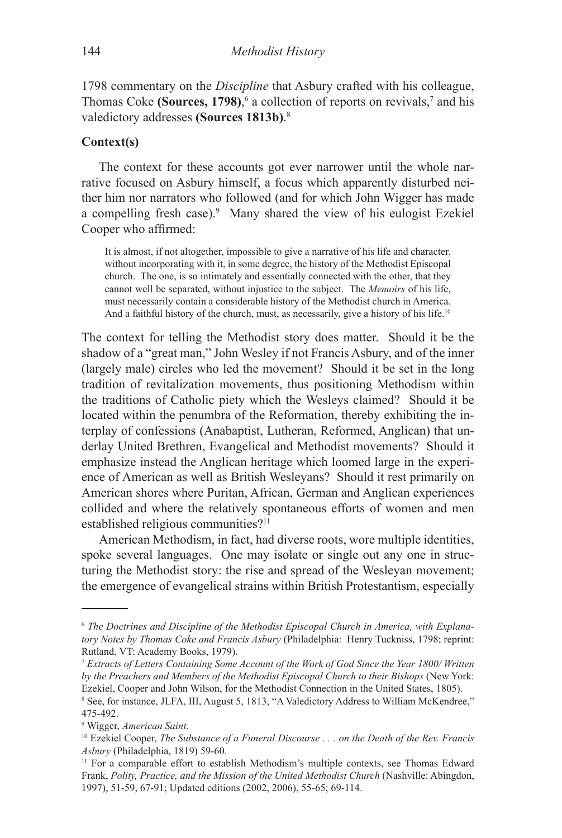1798 commentary on the *Discipline* that Asbury crafted with his colleague, Thomas Coke **(Sources, 1798)**,  $\delta$  a collection of reports on revivals,<sup>7</sup> and his valedictory addresses **(Sources 1813b)**.

### **Context(s)**

The context for these accounts got ever narrower until the whole narrative focused on Asbury himself, a focus which apparently disturbed neither him nor narrators who followed (and for which John Wigger has made a compelling fresh case). Many shared the view of his eulogist Ezekiel Cooper who affirmed:

It is almost, if not altogether, impossible to give a narrative of his life and character, without incorporating with it, in some degree, the history of the Methodist Episcopal church. The one, is so intimately and essentially connected with the other, that they cannot well be separated, without injustice to the subject. The *Memoirs* of his life, must necessarily contain a considerable history of the Methodist church in America. And a faithful history of the church, must, as necessarily, give a history of his life.<sup>10</sup>

The context for telling the Methodist story does matter. Should it be the shadow of a "great man," John Wesley if not Francis Asbury, and of the inner (largely male) circles who led the movement? Should it be set in the long tradition of revitalization movements, thus positioning Methodism within the traditions of Catholic piety which the Wesleys claimed? Should it be located within the penumbra of the Reformation, thereby exhibiting the interplay of confessions (Anabaptist, Lutheran, Reformed, Anglican) that underlay United Brethren, Evangelical and Methodist movements? Should it emphasize instead the Anglican heritage which loomed large in the experience of American as well as British Wesleyans? Should it rest primarily on American shores where Puritan, African, German and Anglican experiences collided and where the relatively spontaneous efforts of women and men established religious communities?<sup>11</sup>

American Methodism, in fact, had diverse roots, wore multiple identities, spoke several languages. One may isolate or single out any one in structuring the Methodist story: the rise and spread of the Wesleyan movement; the emergence of evangelical strains within British Protestantism, especially

*The Doctrines and Discipline of the Methodist Episcopal Church in America, with Explanatory Notes by Thomas Coke and Francis Asbury* (Philadelphia: Henry Tuckniss, 1798; reprint: Rutland, VT: Academy Books, 1979).

*Extracts of Letters Containing Some Account of the Work of God Since the Year 1800/ Written by the Preachers and Members of the Methodist Episcopal Church to their Bishops* (New York: Ezekiel, Cooper and John Wilson, for the Methodist Connection in the United States, 1805).

See, for instance, JLFA, III, August 5, 1813, "A Valedictory Address to William McKendree," 475-492.

Wigger, *American Saint*.

<sup>10</sup> Ezekiel Cooper, *The Substance of a Funeral Discourse . . . on the Death of the Rev. Francis Asbury* (Philadelphia, 1819) 59-60.

<sup>&</sup>lt;sup>11</sup> For a comparable effort to establish Methodism's multiple contexts, see Thomas Edward Frank, *Polity, Practice, and the Mission of the United Methodist Church* (Nashville: Abingdon, 1997), 51-59, 67-91; Updated editions (2002, 2006), 55-65; 69-114.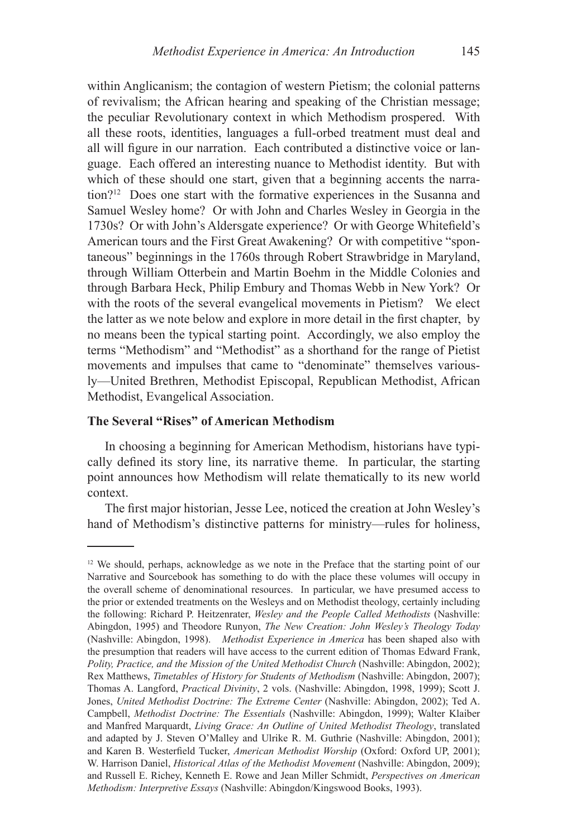within Anglicanism; the contagion of western Pietism; the colonial patterns of revivalism; the African hearing and speaking of the Christian message; the peculiar Revolutionary context in which Methodism prospered. With all these roots, identities, languages a full-orbed treatment must deal and all will figure in our narration. Each contributed a distinctive voice or language. Each offered an interesting nuance to Methodist identity. But with which of these should one start, given that a beginning accents the narration?12 Does one start with the formative experiences in the Susanna and Samuel Wesley home? Or with John and Charles Wesley in Georgia in the 1730s? Or with John's Aldersgate experience? Or with George Whitefield's American tours and the First Great Awakening? Or with competitive "spontaneous" beginnings in the 1760s through Robert Strawbridge in Maryland, through William Otterbein and Martin Boehm in the Middle Colonies and through Barbara Heck, Philip Embury and Thomas Webb in New York? Or with the roots of the several evangelical movements in Pietism? We elect the latter as we note below and explore in more detail in the first chapter, by no means been the typical starting point. Accordingly, we also employ the terms "Methodism" and "Methodist" as a shorthand for the range of Pietist movements and impulses that came to "denominate" themselves variously—United Brethren, Methodist Episcopal, Republican Methodist, African Methodist, Evangelical Association.

## **The Several "Rises" of American Methodism**

In choosing a beginning for American Methodism, historians have typically defined its story line, its narrative theme. In particular, the starting point announces how Methodism will relate thematically to its new world context.

The first major historian, Jesse Lee, noticed the creation at John Wesley's hand of Methodism's distinctive patterns for ministry—rules for holiness,

<sup>&</sup>lt;sup>12</sup> We should, perhaps, acknowledge as we note in the Preface that the starting point of our Narrative and Sourcebook has something to do with the place these volumes will occupy in the overall scheme of denominational resources. In particular, we have presumed access to the prior or extended treatments on the Wesleys and on Methodist theology, certainly including the following: Richard P. Heitzenrater, *Wesley and the People Called Methodists* (Nashville: Abingdon, 1995) and Theodore Runyon, *The New Creation: John Wesley's Theology Today* (Nashville: Abingdon, 1998). *Methodist Experience in America* has been shaped also with the presumption that readers will have access to the current edition of Thomas Edward Frank, *Polity, Practice, and the Mission of the United Methodist Church* (Nashville: Abingdon, 2002); Rex Matthews, *Timetables of History for Students of Methodism* (Nashville: Abingdon, 2007); Thomas A. Langford, *Practical Divinity*, 2 vols. (Nashville: Abingdon, 1998, 1999); Scott J. Jones, *United Methodist Doctrine: The Extreme Center* (Nashville: Abingdon, 2002); Ted A. Campbell, *Methodist Doctrine: The Essentials* (Nashville: Abingdon, 1999); Walter Klaiber and Manfred Marquardt, *Living Grace: An Outline of United Methodist Theology*, translated and adapted by J. Steven O'Malley and Ulrike R. M. Guthrie (Nashville: Abingdon, 2001); and Karen B. Westerfield Tucker, *American Methodist Worship* (Oxford: Oxford UP, 2001); W. Harrison Daniel, *Historical Atlas of the Methodist Movement* (Nashville: Abingdon, 2009); and Russell E. Richey, Kenneth E. Rowe and Jean Miller Schmidt, *Perspectives on American Methodism: Interpretive Essays* (Nashville: Abingdon/Kingswood Books, 1993).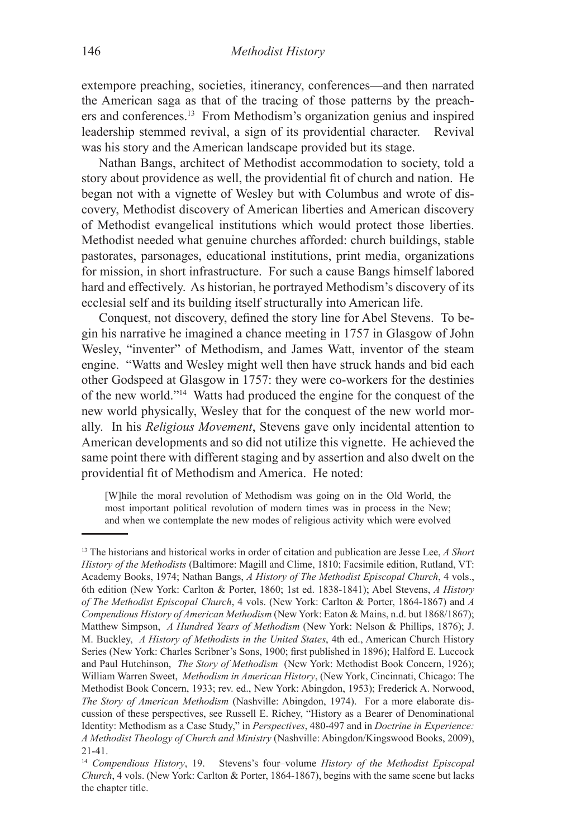extempore preaching, societies, itinerancy, conferences—and then narrated the American saga as that of the tracing of those patterns by the preachers and conferences.13 From Methodism's organization genius and inspired leadership stemmed revival, a sign of its providential character. Revival was his story and the American landscape provided but its stage.

Nathan Bangs, architect of Methodist accommodation to society, told a story about providence as well, the providential fit of church and nation. He began not with a vignette of Wesley but with Columbus and wrote of discovery, Methodist discovery of American liberties and American discovery of Methodist evangelical institutions which would protect those liberties. Methodist needed what genuine churches afforded: church buildings, stable pastorates, parsonages, educational institutions, print media, organizations for mission, in short infrastructure. For such a cause Bangs himself labored hard and effectively. As historian, he portrayed Methodism's discovery of its ecclesial self and its building itself structurally into American life.

Conquest, not discovery, defined the story line for Abel Stevens. To begin his narrative he imagined a chance meeting in 1757 in Glasgow of John Wesley, "inventer" of Methodism, and James Watt, inventor of the steam engine. "Watts and Wesley might well then have struck hands and bid each other Godspeed at Glasgow in 1757: they were co-workers for the destinies of the new world."14 Watts had produced the engine for the conquest of the new world physically, Wesley that for the conquest of the new world morally. In his *Religious Movement*, Stevens gave only incidental attention to American developments and so did not utilize this vignette. He achieved the same point there with different staging and by assertion and also dwelt on the providential fit of Methodism and America. He noted:

[W]hile the moral revolution of Methodism was going on in the Old World, the most important political revolution of modern times was in process in the New; and when we contemplate the new modes of religious activity which were evolved

<sup>13</sup> The historians and historical works in order of citation and publication are Jesse Lee, *A Short History of the Methodists* (Baltimore: Magill and Clime, 1810; Facsimile edition, Rutland, VT: Academy Books, 1974; Nathan Bangs, *A History of The Methodist Episcopal Church*, 4 vols., 6th edition (New York: Carlton & Porter, 1860; 1st ed. 1838-1841); Abel Stevens, *A History of The Methodist Episcopal Church*, 4 vols. (New York: Carlton & Porter, 1864-1867) and *A Compendious History of American Methodism* (New York: Eaton & Mains, n.d. but 1868/1867); Matthew Simpson, *A Hundred Years of Methodism* (New York: Nelson & Phillips, 1876); J. M. Buckley, *A History of Methodists in the United States*, 4th ed., American Church History Series (New York: Charles Scribner's Sons, 1900; first published in 1896); Halford E. Luccock and Paul Hutchinson, *The Story of Methodism* (New York: Methodist Book Concern, 1926); William Warren Sweet, *Methodism in American History*, (New York, Cincinnati, Chicago: The Methodist Book Concern, 1933; rev. ed., New York: Abingdon, 1953); Frederick A. Norwood, *The Story of American Methodism* (Nashville: Abingdon, 1974). For a more elaborate discussion of these perspectives, see Russell E. Richey, "History as a Bearer of Denominational Identity: Methodism as a Case Study," in *Perspectives*, 480-497 and in *Doctrine in Experience: A Methodist Theology of Church and Ministry* (Nashville: Abingdon/Kingswood Books, 2009), 21-41.<br><sup>14</sup> Compendious History, 19.

<sup>14</sup> *Compendious History*, 19. Stevens's four–volume *History of the Methodist Episcopal Church*, 4 vols. (New York: Carlton & Porter, 1864-1867), begins with the same scene but lacks the chapter title.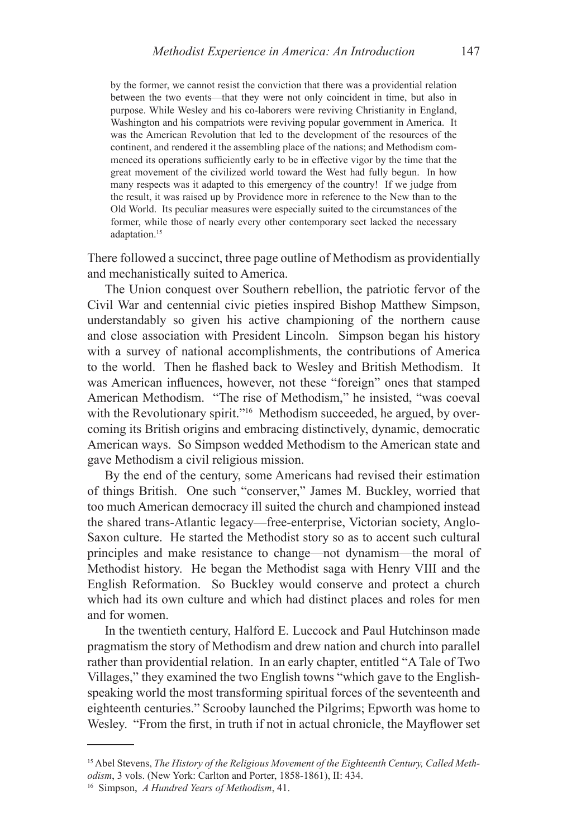by the former, we cannot resist the conviction that there was a providential relation between the two events—that they were not only coincident in time, but also in purpose. While Wesley and his co-laborers were reviving Christianity in England, Washington and his compatriots were reviving popular government in America. It was the American Revolution that led to the development of the resources of the continent, and rendered it the assembling place of the nations; and Methodism commenced its operations sufficiently early to be in effective vigor by the time that the great movement of the civilized world toward the West had fully begun. In how many respects was it adapted to this emergency of the country! If we judge from the result, it was raised up by Providence more in reference to the New than to the Old World. Its peculiar measures were especially suited to the circumstances of the former, while those of nearly every other contemporary sect lacked the necessary adaptation.<sup>15</sup>

There followed a succinct, three page outline of Methodism as providentially and mechanistically suited to America.

The Union conquest over Southern rebellion, the patriotic fervor of the Civil War and centennial civic pieties inspired Bishop Matthew Simpson, understandably so given his active championing of the northern cause and close association with President Lincoln. Simpson began his history with a survey of national accomplishments, the contributions of America to the world. Then he flashed back to Wesley and British Methodism. It was American influences, however, not these "foreign" ones that stamped American Methodism. "The rise of Methodism," he insisted, "was coeval with the Revolutionary spirit."<sup>16</sup> Methodism succeeded, he argued, by overcoming its British origins and embracing distinctively, dynamic, democratic American ways. So Simpson wedded Methodism to the American state and gave Methodism a civil religious mission.

By the end of the century, some Americans had revised their estimation of things British. One such "conserver," James M. Buckley, worried that too much American democracy ill suited the church and championed instead the shared trans-Atlantic legacy—free-enterprise, Victorian society, Anglo-Saxon culture. He started the Methodist story so as to accent such cultural principles and make resistance to change—not dynamism—the moral of Methodist history. He began the Methodist saga with Henry VIII and the English Reformation. So Buckley would conserve and protect a church which had its own culture and which had distinct places and roles for men and for women.

In the twentieth century, Halford E. Luccock and Paul Hutchinson made pragmatism the story of Methodism and drew nation and church into parallel rather than providential relation. In an early chapter, entitled "A Tale of Two Villages," they examined the two English towns "which gave to the Englishspeaking world the most transforming spiritual forces of the seventeenth and eighteenth centuries." Scrooby launched the Pilgrims; Epworth was home to Wesley. "From the first, in truth if not in actual chronicle, the Mayflower set

<sup>15</sup> Abel Stevens, *The History of the Religious Movement of the Eighteenth Century, Called Methodism*, 3 vols. (New York: Carlton and Porter, 1858-1861), II: 434.

<sup>16</sup> Simpson, *A Hundred Years of Methodism*, 41.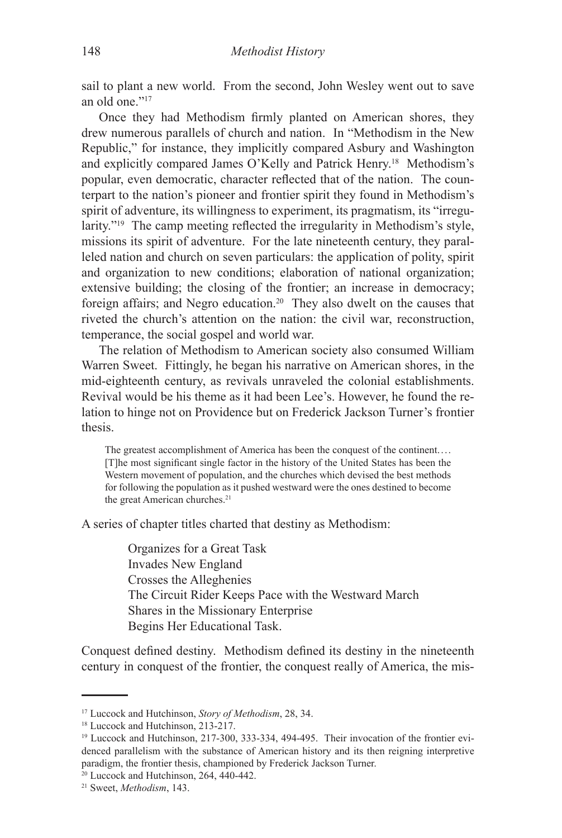sail to plant a new world. From the second, John Wesley went out to save an old one."17

Once they had Methodism firmly planted on American shores, they drew numerous parallels of church and nation. In "Methodism in the New Republic," for instance, they implicitly compared Asbury and Washington and explicitly compared James O'Kelly and Patrick Henry.18 Methodism's popular, even democratic, character reflected that of the nation. The counterpart to the nation's pioneer and frontier spirit they found in Methodism's spirit of adventure, its willingness to experiment, its pragmatism, its "irregularity."19 The camp meeting reflected the irregularity in Methodism's style, missions its spirit of adventure. For the late nineteenth century, they paralleled nation and church on seven particulars: the application of polity, spirit and organization to new conditions; elaboration of national organization; extensive building; the closing of the frontier; an increase in democracy; foreign affairs; and Negro education.20 They also dwelt on the causes that riveted the church's attention on the nation: the civil war, reconstruction, temperance, the social gospel and world war.

The relation of Methodism to American society also consumed William Warren Sweet. Fittingly, he began his narrative on American shores, in the mid-eighteenth century, as revivals unraveled the colonial establishments. Revival would be his theme as it had been Lee's. However, he found the relation to hinge not on Providence but on Frederick Jackson Turner's frontier thesis.

The greatest accomplishment of America has been the conquest of the continent.... [T]he most significant single factor in the history of the United States has been the Western movement of population, and the churches which devised the best methods for following the population as it pushed westward were the ones destined to become the great American churches.<sup>21</sup>

A series of chapter titles charted that destiny as Methodism:

Organizes for a Great Task Invades New England Crosses the Alleghenies The Circuit Rider Keeps Pace with the Westward March Shares in the Missionary Enterprise Begins Her Educational Task.

Conquest defined destiny. Methodism defined its destiny in the nineteenth century in conquest of the frontier, the conquest really of America, the mis-

<sup>17</sup> Luccock and Hutchinson, *Story of Methodism*, 28, 34.

<sup>18</sup> Luccock and Hutchinson, 213-217.

<sup>&</sup>lt;sup>19</sup> Luccock and Hutchinson, 217-300, 333-334, 494-495. Their invocation of the frontier evidenced parallelism with the substance of American history and its then reigning interpretive paradigm, the frontier thesis, championed by Frederick Jackson Turner.

<sup>20</sup> Luccock and Hutchinson, 264, 440-442.

<sup>21</sup> Sweet, *Methodism*, 143.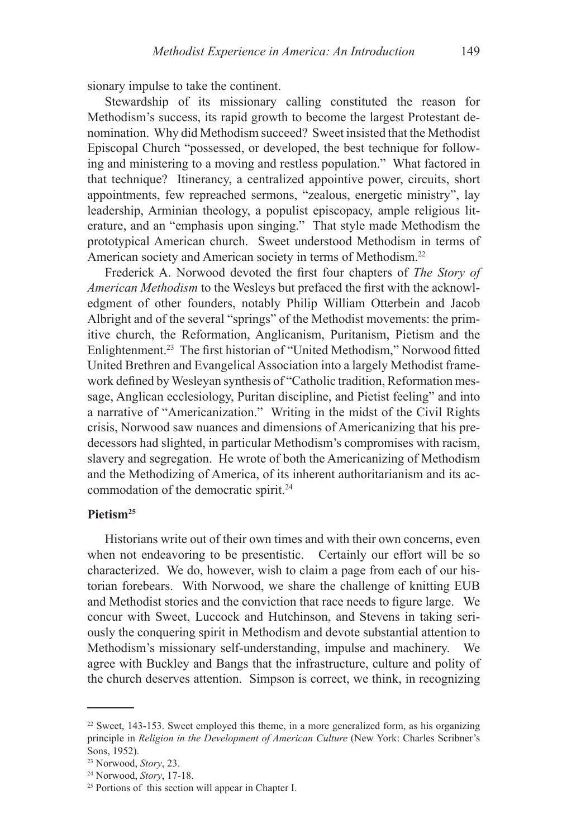sionary impulse to take the continent.

Stewardship of its missionary calling constituted the reason for Methodism's success, its rapid growth to become the largest Protestant denomination. Why did Methodism succeed? Sweet insisted that the Methodist Episcopal Church "possessed, or developed, the best technique for following and ministering to a moving and restless population." What factored in that technique? Itinerancy, a centralized appointive power, circuits, short appointments, few repreached sermons, "zealous, energetic ministry", lay leadership, Arminian theology, a populist episcopacy, ample religious literature, and an "emphasis upon singing." That style made Methodism the prototypical American church. Sweet understood Methodism in terms of American society and American society in terms of Methodism.22

Frederick A. Norwood devoted the first four chapters of *The Story of American Methodism* to the Wesleys but prefaced the first with the acknowledgment of other founders, notably Philip William Otterbein and Jacob Albright and of the several "springs" of the Methodist movements: the primitive church, the Reformation, Anglicanism, Puritanism, Pietism and the Enlightenment.23 The first historian of "United Methodism," Norwood fitted United Brethren and Evangelical Association into a largely Methodist framework defined by Wesleyan synthesis of "Catholic tradition, Reformation message, Anglican ecclesiology, Puritan discipline, and Pietist feeling" and into a narrative of "Americanization." Writing in the midst of the Civil Rights crisis, Norwood saw nuances and dimensions of Americanizing that his predecessors had slighted, in particular Methodism's compromises with racism, slavery and segregation. He wrote of both the Americanizing of Methodism and the Methodizing of America, of its inherent authoritarianism and its accommodation of the democratic spirit.<sup>24</sup>

### **Pietism25**

Historians write out of their own times and with their own concerns, even when not endeavoring to be presentistic. Certainly our effort will be so characterized. We do, however, wish to claim a page from each of our historian forebears. With Norwood, we share the challenge of knitting EUB and Methodist stories and the conviction that race needs to figure large. We concur with Sweet, Luccock and Hutchinson, and Stevens in taking seriously the conquering spirit in Methodism and devote substantial attention to Methodism's missionary self-understanding, impulse and machinery. We agree with Buckley and Bangs that the infrastructure, culture and polity of the church deserves attention. Simpson is correct, we think, in recognizing

 $22$  Sweet, 143-153. Sweet employed this theme, in a more generalized form, as his organizing principle in *Religion in the Development of American Culture* (New York: Charles Scribner's Sons, 1952).

<sup>23</sup> Norwood, *Story*, 23.

<sup>24</sup> Norwood, *Story*, 17-18.

<sup>25</sup> Portions of this section will appear in Chapter I.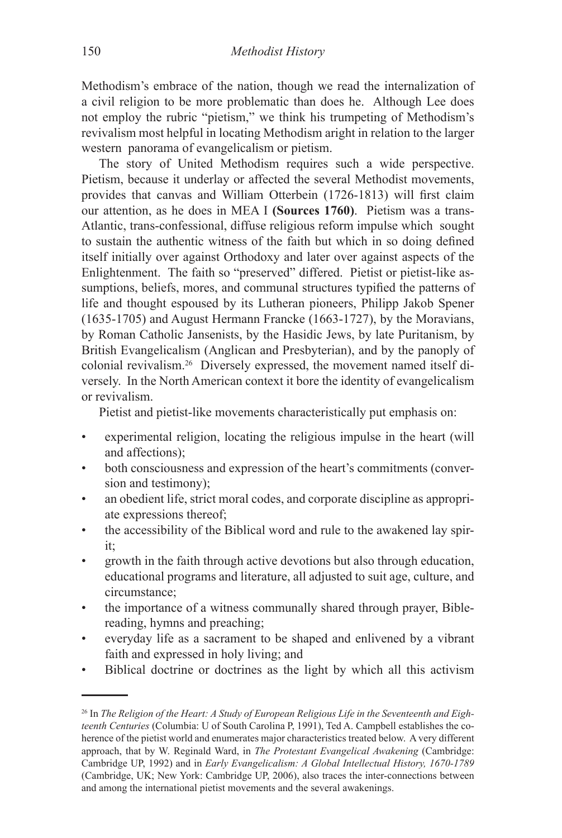Methodism's embrace of the nation, though we read the internalization of a civil religion to be more problematic than does he. Although Lee does not employ the rubric "pietism," we think his trumpeting of Methodism's revivalism most helpful in locating Methodism aright in relation to the larger western panorama of evangelicalism or pietism.

The story of United Methodism requires such a wide perspective. Pietism, because it underlay or affected the several Methodist movements, provides that canvas and William Otterbein (1726-1813) will first claim our attention, as he does in MEA I **(Sources 1760)**. Pietism was a trans-Atlantic, trans-confessional, diffuse religious reform impulse which sought to sustain the authentic witness of the faith but which in so doing defined itself initially over against Orthodoxy and later over against aspects of the Enlightenment. The faith so "preserved" differed. Pietist or pietist-like assumptions, beliefs, mores, and communal structures typified the patterns of life and thought espoused by its Lutheran pioneers, Philipp Jakob Spener (1635-1705) and August Hermann Francke (1663-1727), by the Moravians, by Roman Catholic Jansenists, by the Hasidic Jews, by late Puritanism, by British Evangelicalism (Anglican and Presbyterian), and by the panoply of colonial revivalism.26 Diversely expressed, the movement named itself diversely. In the North American context it bore the identity of evangelicalism or revivalism.

Pietist and pietist-like movements characteristically put emphasis on:

- experimental religion, locating the religious impulse in the heart (will and affections); •
- both consciousness and expression of the heart's commitments (conversion and testimony); •
- an obedient life, strict moral codes, and corporate discipline as appropriate expressions thereof; •
- the accessibility of the Biblical word and rule to the awakened lay spirit; •
- growth in the faith through active devotions but also through education, educational programs and literature, all adjusted to suit age, culture, and circumstance; •
- the importance of a witness communally shared through prayer, Biblereading, hymns and preaching; •
- everyday life as a sacrament to be shaped and enlivened by a vibrant faith and expressed in holy living; and •
- Biblical doctrine or doctrines as the light by which all this activism •

<sup>26</sup> In *The Religion of the Heart: A Study of European Religious Life in the Seventeenth and Eighteenth Centuries* (Columbia: U of South Carolina P, 1991), Ted A. Campbell establishes the coherence of the pietist world and enumerates major characteristics treated below. A very different approach, that by W. Reginald Ward, in *The Protestant Evangelical Awakening* (Cambridge: Cambridge UP, 1992) and in *Early Evangelicalism: A Global Intellectual History, 1670-1789*  (Cambridge, UK; New York: Cambridge UP, 2006), also traces the inter-connections between and among the international pietist movements and the several awakenings.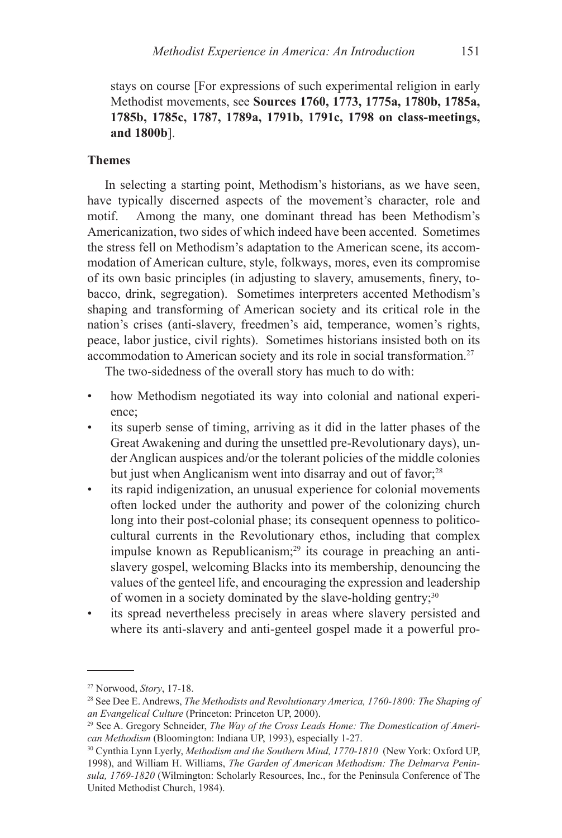stays on course [For expressions of such experimental religion in early Methodist movements, see **Sources 1760, 1773, 1775a, 1780b, 1785a, 1785b, 1785c, 1787, 1789a, 1791b, 1791c, 1798 on class-meetings, and 1800b**].

#### **Themes**

In selecting a starting point, Methodism's historians, as we have seen, have typically discerned aspects of the movement's character, role and motif. Among the many, one dominant thread has been Methodism's Americanization, two sides of which indeed have been accented. Sometimes the stress fell on Methodism's adaptation to the American scene, its accommodation of American culture, style, folkways, mores, even its compromise of its own basic principles (in adjusting to slavery, amusements, finery, tobacco, drink, segregation). Sometimes interpreters accented Methodism's shaping and transforming of American society and its critical role in the nation's crises (anti-slavery, freedmen's aid, temperance, women's rights, peace, labor justice, civil rights). Sometimes historians insisted both on its accommodation to American society and its role in social transformation.27

The two-sidedness of the overall story has much to do with:

- how Methodism negotiated its way into colonial and national experience; •
- its superb sense of timing, arriving as it did in the latter phases of the Great Awakening and during the unsettled pre-Revolutionary days), under Anglican auspices and/or the tolerant policies of the middle colonies but just when Anglicanism went into disarray and out of favor;<sup>28</sup> •
- its rapid indigenization, an unusual experience for colonial movements often locked under the authority and power of the colonizing church long into their post-colonial phase; its consequent openness to politicocultural currents in the Revolutionary ethos, including that complex impulse known as Republicanism; $29$  its courage in preaching an antislavery gospel, welcoming Blacks into its membership, denouncing the values of the genteel life, and encouraging the expression and leadership of women in a society dominated by the slave-holding gentry;<sup>30</sup> •
- its spread nevertheless precisely in areas where slavery persisted and where its anti-slavery and anti-genteel gospel made it a powerful pro-•

<sup>27</sup> Norwood, *Story*, 17-18.

<sup>28</sup> See Dee E. Andrews, *The Methodists and Revolutionary America, 1760-1800: The Shaping of an Evangelical Culture* (Princeton: Princeton UP, 2000).

<sup>29</sup> See A. Gregory Schneider, *The Way of the Cross Leads Home: The Domestication of American Methodism* (Bloomington: Indiana UP, 1993), especially 1-27.

<sup>30</sup> Cynthia Lynn Lyerly, *Methodism and the Southern Mind, 1770-1810* (New York: Oxford UP, 1998), and William H. Williams, *The Garden of American Methodism: The Delmarva Peninsula, 1769-1820* (Wilmington: Scholarly Resources, Inc., for the Peninsula Conference of The United Methodist Church, 1984).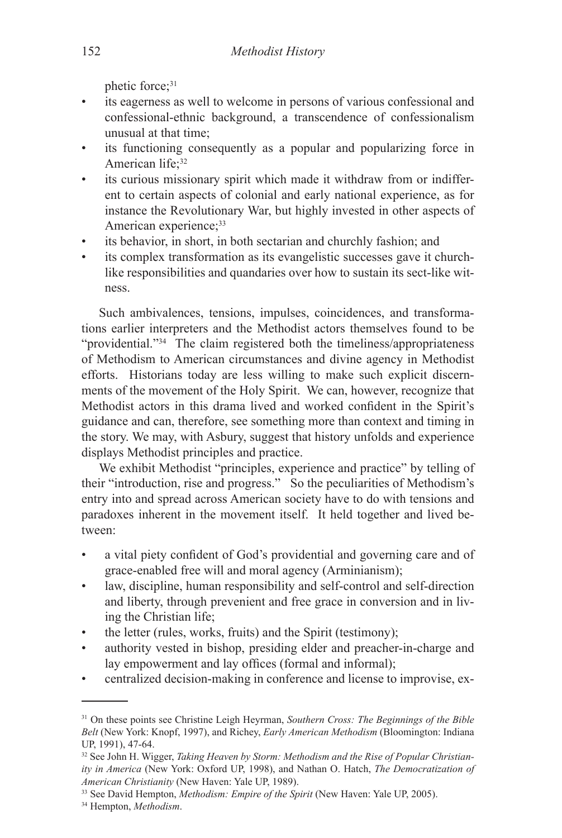phetic force: 31

- its eagerness as well to welcome in persons of various confessional and confessional-ethnic background, a transcendence of confessionalism unusual at that time; •
- its functioning consequently as a popular and popularizing force in American life;<sup>32</sup> •
- its curious missionary spirit which made it withdraw from or indifferent to certain aspects of colonial and early national experience, as for instance the Revolutionary War, but highly invested in other aspects of American experience;<sup>33</sup> •
- its behavior, in short, in both sectarian and churchly fashion; and •
- its complex transformation as its evangelistic successes gave it churchlike responsibilities and quandaries over how to sustain its sect-like witness. •

Such ambivalences, tensions, impulses, coincidences, and transformations earlier interpreters and the Methodist actors themselves found to be "providential."34 The claim registered both the timeliness/appropriateness of Methodism to American circumstances and divine agency in Methodist efforts. Historians today are less willing to make such explicit discernments of the movement of the Holy Spirit. We can, however, recognize that Methodist actors in this drama lived and worked confident in the Spirit's guidance and can, therefore, see something more than context and timing in the story. We may, with Asbury, suggest that history unfolds and experience displays Methodist principles and practice.

We exhibit Methodist "principles, experience and practice" by telling of their "introduction, rise and progress." So the peculiarities of Methodism's entry into and spread across American society have to do with tensions and paradoxes inherent in the movement itself. It held together and lived between:

- a vital piety confident of God's providential and governing care and of grace-enabled free will and moral agency (Arminianism); •
- law, discipline, human responsibility and self-control and self-direction and liberty, through prevenient and free grace in conversion and in living the Christian life; •
- the letter (rules, works, fruits) and the Spirit (testimony); •
- authority vested in bishop, presiding elder and preacher-in-charge and lay empowerment and lay offices (formal and informal); •
- centralized decision-making in conference and license to improvise, ex-•

<sup>31</sup> On these points see Christine Leigh Heyrman, *Southern Cross: The Beginnings of the Bible Belt* (New York: Knopf, 1997), and Richey, *Early American Methodism* (Bloomington: Indiana UP, 1991), 47-64.

<sup>32</sup> See John H. Wigger, *Taking Heaven by Storm: Methodism and the Rise of Popular Christianity in America* (New York: Oxford UP, 1998), and Nathan O. Hatch, *The Democratization of American Christianity* (New Haven: Yale UP, 1989).

<sup>33</sup> See David Hempton, *Methodism: Empire of the Spirit* (New Haven: Yale UP, 2005).

<sup>34</sup> Hempton, *Methodism*.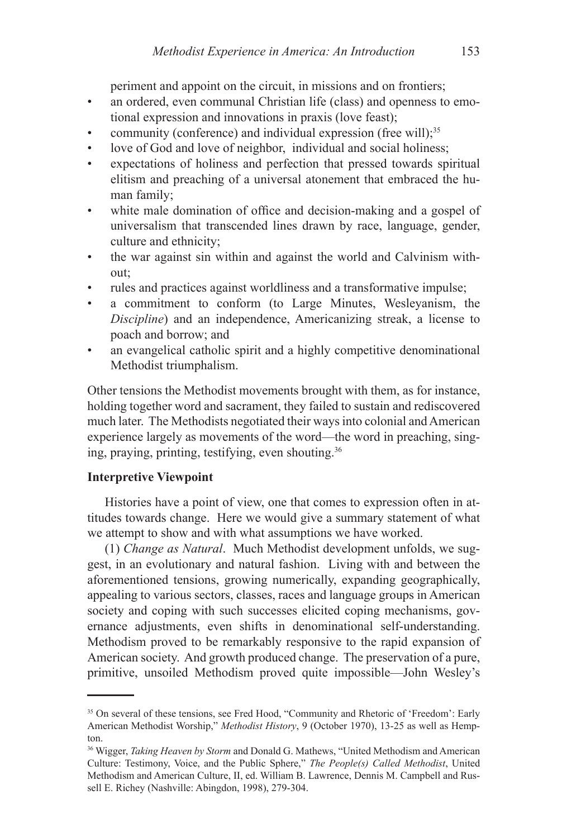periment and appoint on the circuit, in missions and on frontiers;

- an ordered, even communal Christian life (class) and openness to emotional expression and innovations in praxis (love feast); •
- community (conference) and individual expression (free will);<sup>35</sup> •
- love of God and love of neighbor, individual and social holiness; •
- expectations of holiness and perfection that pressed towards spiritual elitism and preaching of a universal atonement that embraced the human family; •
- white male domination of office and decision-making and a gospel of universalism that transcended lines drawn by race, language, gender, culture and ethnicity; •
- the war against sin within and against the world and Calvinism without; •
- rules and practices against worldliness and a transformative impulse; •
- a commitment to conform (to Large Minutes, Wesleyanism, the *Discipline*) and an independence, Americanizing streak, a license to poach and borrow; and •
- an evangelical catholic spirit and a highly competitive denominational Methodist triumphalism. •

Other tensions the Methodist movements brought with them, as for instance, holding together word and sacrament, they failed to sustain and rediscovered much later. The Methodists negotiated their ways into colonial and American experience largely as movements of the word—the word in preaching, singing, praying, printing, testifying, even shouting.36

### **Interpretive Viewpoint**

Histories have a point of view, one that comes to expression often in attitudes towards change. Here we would give a summary statement of what we attempt to show and with what assumptions we have worked.

(1) *Change as Natural*. Much Methodist development unfolds, we suggest, in an evolutionary and natural fashion. Living with and between the aforementioned tensions, growing numerically, expanding geographically, appealing to various sectors, classes, races and language groups in American society and coping with such successes elicited coping mechanisms, governance adjustments, even shifts in denominational self-understanding. Methodism proved to be remarkably responsive to the rapid expansion of American society. And growth produced change. The preservation of a pure, primitive, unsoiled Methodism proved quite impossible—John Wesley's

<sup>&</sup>lt;sup>35</sup> On several of these tensions, see Fred Hood, "Community and Rhetoric of 'Freedom': Early American Methodist Worship," *Methodist History*, 9 (October 1970), 13-25 as well as Hempton.

<sup>36</sup> Wigger, *Taking Heaven by Storm* and Donald G. Mathews, "United Methodism and American Culture: Testimony, Voice, and the Public Sphere," *The People(s) Called Methodist*, United Methodism and American Culture, II, ed. William B. Lawrence, Dennis M. Campbell and Russell E. Richey (Nashville: Abingdon, 1998), 279-304.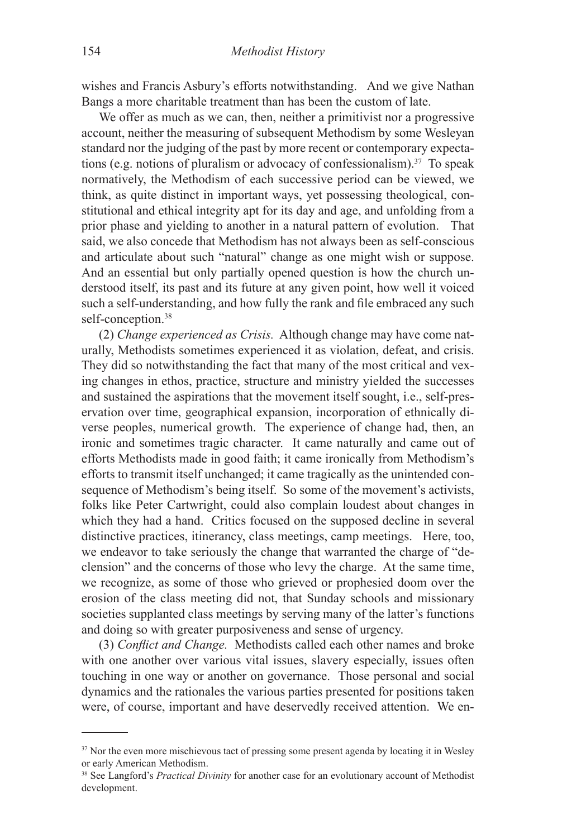wishes and Francis Asbury's efforts notwithstanding. And we give Nathan Bangs a more charitable treatment than has been the custom of late.

We offer as much as we can, then, neither a primitivist nor a progressive account, neither the measuring of subsequent Methodism by some Wesleyan standard nor the judging of the past by more recent or contemporary expectations (e.g. notions of pluralism or advocacy of confessionalism).<sup>37</sup> To speak normatively, the Methodism of each successive period can be viewed, we think, as quite distinct in important ways, yet possessing theological, constitutional and ethical integrity apt for its day and age, and unfolding from a prior phase and yielding to another in a natural pattern of evolution. That said, we also concede that Methodism has not always been as self-conscious and articulate about such "natural" change as one might wish or suppose. And an essential but only partially opened question is how the church understood itself, its past and its future at any given point, how well it voiced such a self-understanding, and how fully the rank and file embraced any such self-conception.<sup>38</sup>

(2) *Change experienced as Crisis.* Although change may have come naturally, Methodists sometimes experienced it as violation, defeat, and crisis. They did so notwithstanding the fact that many of the most critical and vexing changes in ethos, practice, structure and ministry yielded the successes and sustained the aspirations that the movement itself sought, i.e., self-preservation over time, geographical expansion, incorporation of ethnically diverse peoples, numerical growth. The experience of change had, then, an ironic and sometimes tragic character. It came naturally and came out of efforts Methodists made in good faith; it came ironically from Methodism's efforts to transmit itself unchanged; it came tragically as the unintended consequence of Methodism's being itself. So some of the movement's activists, folks like Peter Cartwright, could also complain loudest about changes in which they had a hand. Critics focused on the supposed decline in several distinctive practices, itinerancy, class meetings, camp meetings. Here, too, we endeavor to take seriously the change that warranted the charge of "declension" and the concerns of those who levy the charge. At the same time, we recognize, as some of those who grieved or prophesied doom over the erosion of the class meeting did not, that Sunday schools and missionary societies supplanted class meetings by serving many of the latter's functions and doing so with greater purposiveness and sense of urgency.

(3) *Conflict and Change.* Methodists called each other names and broke with one another over various vital issues, slavery especially, issues often touching in one way or another on governance. Those personal and social dynamics and the rationales the various parties presented for positions taken were, of course, important and have deservedly received attention. We en-

<sup>&</sup>lt;sup>37</sup> Nor the even more mischievous tact of pressing some present agenda by locating it in Wesley or early American Methodism.

<sup>38</sup> See Langford's *Practical Divinity* for another case for an evolutionary account of Methodist development.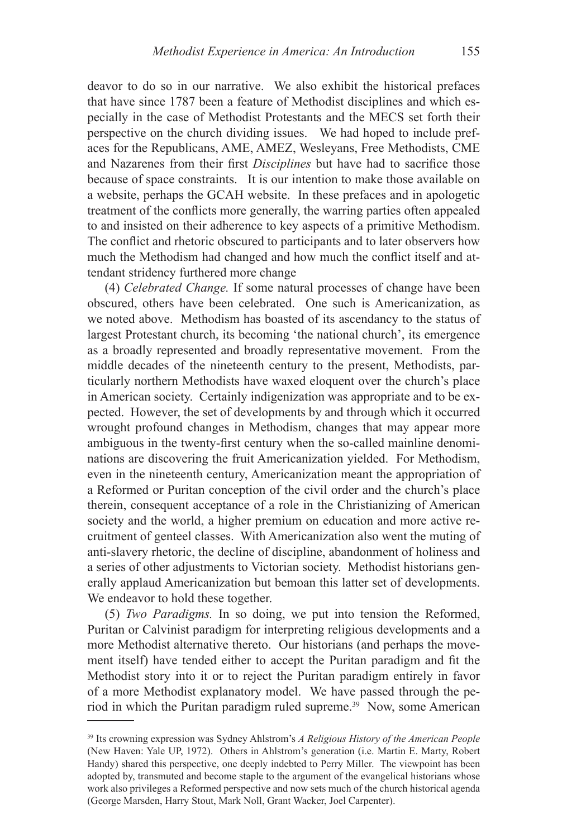deavor to do so in our narrative. We also exhibit the historical prefaces that have since 1787 been a feature of Methodist disciplines and which especially in the case of Methodist Protestants and the MECS set forth their perspective on the church dividing issues. We had hoped to include prefaces for the Republicans, AME, AMEZ, Wesleyans, Free Methodists, CME and Nazarenes from their first *Disciplines* but have had to sacrifice those because of space constraints. It is our intention to make those available on a website, perhaps the GCAH website. In these prefaces and in apologetic treatment of the conflicts more generally, the warring parties often appealed to and insisted on their adherence to key aspects of a primitive Methodism. The conflict and rhetoric obscured to participants and to later observers how much the Methodism had changed and how much the conflict itself and attendant stridency furthered more change

(4) *Celebrated Change.* If some natural processes of change have been obscured, others have been celebrated. One such is Americanization, as we noted above. Methodism has boasted of its ascendancy to the status of largest Protestant church, its becoming 'the national church', its emergence as a broadly represented and broadly representative movement. From the middle decades of the nineteenth century to the present, Methodists, particularly northern Methodists have waxed eloquent over the church's place in American society. Certainly indigenization was appropriate and to be expected. However, the set of developments by and through which it occurred wrought profound changes in Methodism, changes that may appear more ambiguous in the twenty-first century when the so-called mainline denominations are discovering the fruit Americanization yielded. For Methodism, even in the nineteenth century, Americanization meant the appropriation of a Reformed or Puritan conception of the civil order and the church's place therein, consequent acceptance of a role in the Christianizing of American society and the world, a higher premium on education and more active recruitment of genteel classes. With Americanization also went the muting of anti-slavery rhetoric, the decline of discipline, abandonment of holiness and a series of other adjustments to Victorian society. Methodist historians generally applaud Americanization but bemoan this latter set of developments. We endeavor to hold these together.

(5) *Two Paradigms.* In so doing, we put into tension the Reformed, Puritan or Calvinist paradigm for interpreting religious developments and a more Methodist alternative thereto. Our historians (and perhaps the movement itself) have tended either to accept the Puritan paradigm and fit the Methodist story into it or to reject the Puritan paradigm entirely in favor of a more Methodist explanatory model. We have passed through the period in which the Puritan paradigm ruled supreme.39 Now, some American

<sup>39</sup> Its crowning expression was Sydney Ahlstrom's *A Religious History of the American People*  (New Haven: Yale UP, 1972). Others in Ahlstrom's generation (i.e. Martin E. Marty, Robert Handy) shared this perspective, one deeply indebted to Perry Miller. The viewpoint has been adopted by, transmuted and become staple to the argument of the evangelical historians whose work also privileges a Reformed perspective and now sets much of the church historical agenda (George Marsden, Harry Stout, Mark Noll, Grant Wacker, Joel Carpenter).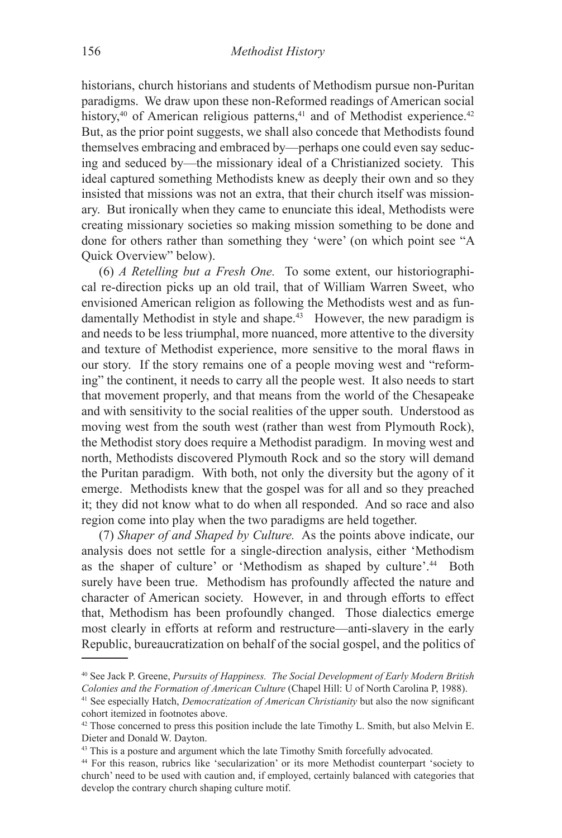historians, church historians and students of Methodism pursue non-Puritan paradigms. We draw upon these non-Reformed readings of American social history, $40$  of American religious patterns, $41$  and of Methodist experience. $42$ But, as the prior point suggests, we shall also concede that Methodists found themselves embracing and embraced by—perhaps one could even say seducing and seduced by—the missionary ideal of a Christianized society. This ideal captured something Methodists knew as deeply their own and so they insisted that missions was not an extra, that their church itself was missionary. But ironically when they came to enunciate this ideal, Methodists were creating missionary societies so making mission something to be done and done for others rather than something they 'were' (on which point see "A Quick Overview" below).

(6) *A Retelling but a Fresh One.* To some extent, our historiographical re-direction picks up an old trail, that of William Warren Sweet, who envisioned American religion as following the Methodists west and as fundamentally Methodist in style and shape.<sup>43</sup> However, the new paradigm is and needs to be less triumphal, more nuanced, more attentive to the diversity and texture of Methodist experience, more sensitive to the moral flaws in our story. If the story remains one of a people moving west and "reforming" the continent, it needs to carry all the people west. It also needs to start that movement properly, and that means from the world of the Chesapeake and with sensitivity to the social realities of the upper south. Understood as moving west from the south west (rather than west from Plymouth Rock), the Methodist story does require a Methodist paradigm. In moving west and north, Methodists discovered Plymouth Rock and so the story will demand the Puritan paradigm. With both, not only the diversity but the agony of it emerge. Methodists knew that the gospel was for all and so they preached it; they did not know what to do when all responded. And so race and also region come into play when the two paradigms are held together.

(7) *Shaper of and Shaped by Culture.* As the points above indicate, our analysis does not settle for a single-direction analysis, either 'Methodism as the shaper of culture' or 'Methodism as shaped by culture'.44 Both surely have been true. Methodism has profoundly affected the nature and character of American society. However, in and through efforts to effect that, Methodism has been profoundly changed. Those dialectics emerge most clearly in efforts at reform and restructure—anti-slavery in the early Republic, bureaucratization on behalf of the social gospel, and the politics of

<sup>40</sup> See Jack P. Greene, *Pursuits of Happiness. The Social Development of Early Modern British Colonies and the Formation of American Culture* (Chapel Hill: U of North Carolina P, 1988).

<sup>41</sup> See especially Hatch, *Democratization of American Christianity* but also the now significant cohort itemized in footnotes above.

<sup>42</sup> Those concerned to press this position include the late Timothy L. Smith, but also Melvin E. Dieter and Donald W. Dayton.

<sup>43</sup> This is a posture and argument which the late Timothy Smith forcefully advocated.

<sup>44</sup> For this reason, rubrics like 'secularization' or its more Methodist counterpart 'society to church' need to be used with caution and, if employed, certainly balanced with categories that develop the contrary church shaping culture motif.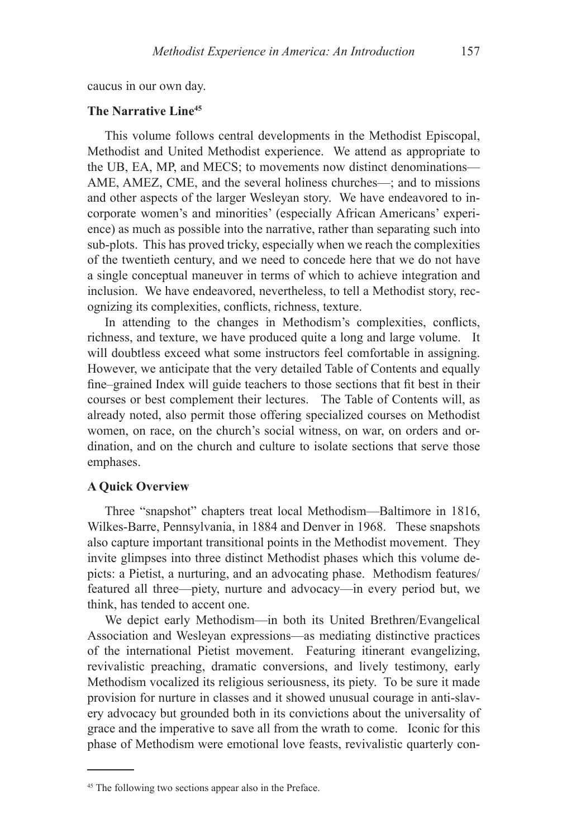caucus in our own day.

### **The Narrative Line45**

This volume follows central developments in the Methodist Episcopal, Methodist and United Methodist experience. We attend as appropriate to the UB, EA, MP, and MECS; to movements now distinct denominations— AME, AMEZ, CME, and the several holiness churches—; and to missions and other aspects of the larger Wesleyan story. We have endeavored to incorporate women's and minorities' (especially African Americans' experience) as much as possible into the narrative, rather than separating such into sub-plots. This has proved tricky, especially when we reach the complexities of the twentieth century, and we need to concede here that we do not have a single conceptual maneuver in terms of which to achieve integration and inclusion. We have endeavored, nevertheless, to tell a Methodist story, recognizing its complexities, conflicts, richness, texture.

In attending to the changes in Methodism's complexities, conflicts, richness, and texture, we have produced quite a long and large volume. It will doubtless exceed what some instructors feel comfortable in assigning. However, we anticipate that the very detailed Table of Contents and equally fine–grained Index will guide teachers to those sections that fit best in their courses or best complement their lectures. The Table of Contents will, as already noted, also permit those offering specialized courses on Methodist women, on race, on the church's social witness, on war, on orders and ordination, and on the church and culture to isolate sections that serve those emphases.

#### **A Quick Overview**

Three "snapshot" chapters treat local Methodism—Baltimore in 1816, Wilkes-Barre, Pennsylvania, in 1884 and Denver in 1968. These snapshots also capture important transitional points in the Methodist movement. They invite glimpses into three distinct Methodist phases which this volume depicts: a Pietist, a nurturing, and an advocating phase. Methodism features/ featured all three—piety, nurture and advocacy—in every period but, we think, has tended to accent one.

We depict early Methodism—in both its United Brethren/Evangelical Association and Wesleyan expressions—as mediating distinctive practices of the international Pietist movement. Featuring itinerant evangelizing, revivalistic preaching, dramatic conversions, and lively testimony, early Methodism vocalized its religious seriousness, its piety. To be sure it made provision for nurture in classes and it showed unusual courage in anti-slavery advocacy but grounded both in its convictions about the universality of grace and the imperative to save all from the wrath to come. Iconic for this phase of Methodism were emotional love feasts, revivalistic quarterly con-

<sup>45</sup> The following two sections appear also in the Preface.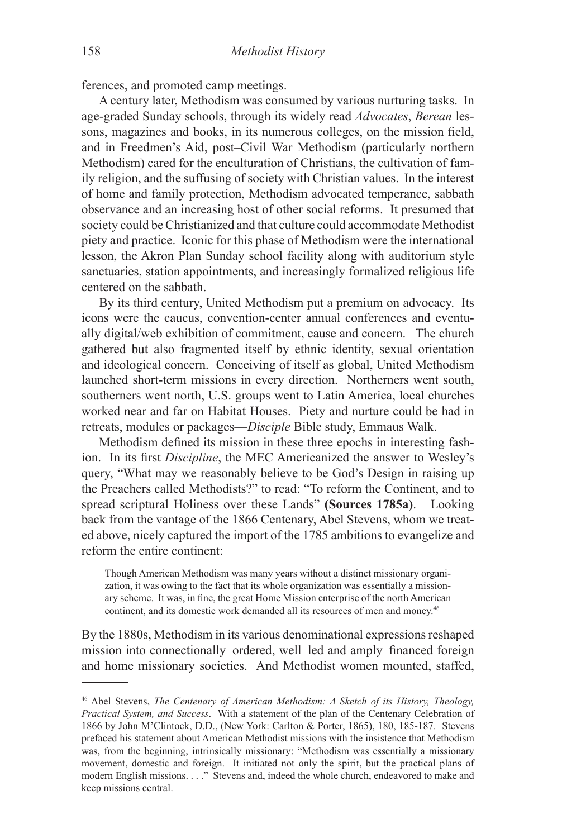ferences, and promoted camp meetings.

A century later, Methodism was consumed by various nurturing tasks. In age-graded Sunday schools, through its widely read *Advocates*, *Berean* lessons, magazines and books, in its numerous colleges, on the mission field, and in Freedmen's Aid, post–Civil War Methodism (particularly northern Methodism) cared for the enculturation of Christians, the cultivation of family religion, and the suffusing of society with Christian values. In the interest of home and family protection, Methodism advocated temperance, sabbath observance and an increasing host of other social reforms. It presumed that society could be Christianized and that culture could accommodate Methodist piety and practice. Iconic for this phase of Methodism were the international lesson, the Akron Plan Sunday school facility along with auditorium style sanctuaries, station appointments, and increasingly formalized religious life centered on the sabbath.

By its third century, United Methodism put a premium on advocacy. Its icons were the caucus, convention-center annual conferences and eventually digital/web exhibition of commitment, cause and concern. The church gathered but also fragmented itself by ethnic identity, sexual orientation and ideological concern. Conceiving of itself as global, United Methodism launched short-term missions in every direction. Northerners went south, southerners went north, U.S. groups went to Latin America, local churches worked near and far on Habitat Houses. Piety and nurture could be had in retreats, modules or packages—*Disciple* Bible study, Emmaus Walk.

Methodism defined its mission in these three epochs in interesting fashion. In its first *Discipline*, the MEC Americanized the answer to Wesley's query, "What may we reasonably believe to be God's Design in raising up the Preachers called Methodists?" to read: "To reform the Continent, and to spread scriptural Holiness over these Lands" **(Sources 1785a)**. Looking back from the vantage of the 1866 Centenary, Abel Stevens, whom we treated above, nicely captured the import of the 1785 ambitions to evangelize and reform the entire continent:

Though American Methodism was many years without a distinct missionary organization, it was owing to the fact that its whole organization was essentially a missionary scheme. It was, in fine, the great Home Mission enterprise of the north American continent, and its domestic work demanded all its resources of men and money.<sup>46</sup>

By the 1880s, Methodism in its various denominational expressions reshaped mission into connectionally–ordered, well–led and amply–financed foreign and home missionary societies. And Methodist women mounted, staffed,

<sup>46</sup> Abel Stevens, *The Centenary of American Methodism: A Sketch of its History, Theology, Practical System, and Success*. With a statement of the plan of the Centenary Celebration of 1866 by John M'Clintock, D.D., (New York: Carlton & Porter, 1865), 180, 185-187. Stevens prefaced his statement about American Methodist missions with the insistence that Methodism was, from the beginning, intrinsically missionary: "Methodism was essentially a missionary movement, domestic and foreign. It initiated not only the spirit, but the practical plans of modern English missions. . . ." Stevens and, indeed the whole church, endeavored to make and keep missions central.